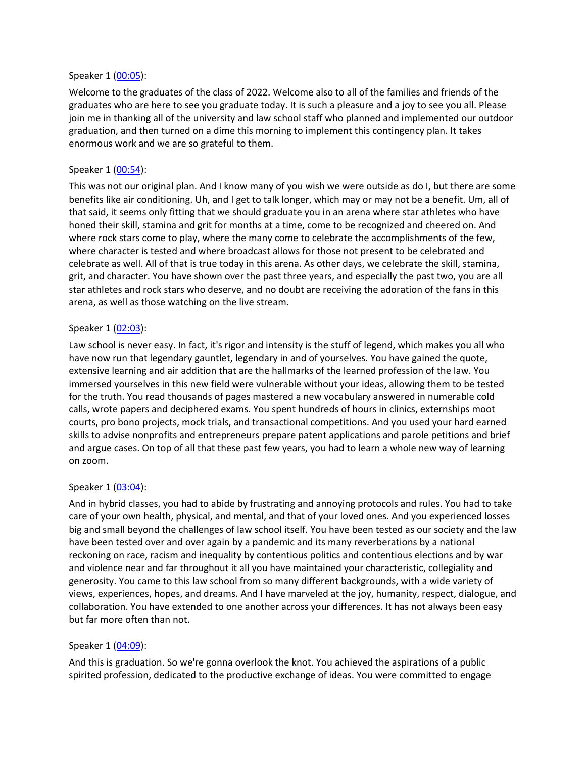#### Speaker 1 [\(00:05\)](https://www.temi.com/editor/t/yP_Y9PYSff0KYXDrRbf2bR6jWl4riW4CmYZF3qCqVGIyyxqYWTcZnVGQZcL5qNJX6ZisRJHfpMHiq9x-kJgIdR9a8Fc?loadFrom=DocumentDeeplink&ts=5.83):

Welcome to the graduates of the class of 2022. Welcome also to all of the families and friends of the graduates who are here to see you graduate today. It is such a pleasure and a joy to see you all. Please join me in thanking all of the university and law school staff who planned and implemented our outdoor graduation, and then turned on a dime this morning to implement this contingency plan. It takes enormous work and we are so grateful to them.

### Speaker 1 [\(00:54\)](https://www.temi.com/editor/t/yP_Y9PYSff0KYXDrRbf2bR6jWl4riW4CmYZF3qCqVGIyyxqYWTcZnVGQZcL5qNJX6ZisRJHfpMHiq9x-kJgIdR9a8Fc?loadFrom=DocumentDeeplink&ts=54.01):

This was not our original plan. And I know many of you wish we were outside as do I, but there are some benefits like air conditioning. Uh, and I get to talk longer, which may or may not be a benefit. Um, all of that said, it seems only fitting that we should graduate you in an arena where star athletes who have honed their skill, stamina and grit for months at a time, come to be recognized and cheered on. And where rock stars come to play, where the many come to celebrate the accomplishments of the few, where character is tested and where broadcast allows for those not present to be celebrated and celebrate as well. All of that is true today in this arena. As other days, we celebrate the skill, stamina, grit, and character. You have shown over the past three years, and especially the past two, you are all star athletes and rock stars who deserve, and no doubt are receiving the adoration of the fans in this arena, as well as those watching on the live stream.

#### Speaker 1 [\(02:03\)](https://www.temi.com/editor/t/yP_Y9PYSff0KYXDrRbf2bR6jWl4riW4CmYZF3qCqVGIyyxqYWTcZnVGQZcL5qNJX6ZisRJHfpMHiq9x-kJgIdR9a8Fc?loadFrom=DocumentDeeplink&ts=123.08):

Law school is never easy. In fact, it's rigor and intensity is the stuff of legend, which makes you all who have now run that legendary gauntlet, legendary in and of yourselves. You have gained the quote, extensive learning and air addition that are the hallmarks of the learned profession of the law. You immersed yourselves in this new field were vulnerable without your ideas, allowing them to be tested for the truth. You read thousands of pages mastered a new vocabulary answered in numerable cold calls, wrote papers and deciphered exams. You spent hundreds of hours in clinics, externships moot courts, pro bono projects, mock trials, and transactional competitions. And you used your hard earned skills to advise nonprofits and entrepreneurs prepare patent applications and parole petitions and brief and argue cases. On top of all that these past few years, you had to learn a whole new way of learning on zoom.

## Speaker 1 [\(03:04\)](https://www.temi.com/editor/t/yP_Y9PYSff0KYXDrRbf2bR6jWl4riW4CmYZF3qCqVGIyyxqYWTcZnVGQZcL5qNJX6ZisRJHfpMHiq9x-kJgIdR9a8Fc?loadFrom=DocumentDeeplink&ts=184.18):

And in hybrid classes, you had to abide by frustrating and annoying protocols and rules. You had to take care of your own health, physical, and mental, and that of your loved ones. And you experienced losses big and small beyond the challenges of law school itself. You have been tested as our society and the law have been tested over and over again by a pandemic and its many reverberations by a national reckoning on race, racism and inequality by contentious politics and contentious elections and by war and violence near and far throughout it all you have maintained your characteristic, collegiality and generosity. You came to this law school from so many different backgrounds, with a wide variety of views, experiences, hopes, and dreams. And I have marveled at the joy, humanity, respect, dialogue, and collaboration. You have extended to one another across your differences. It has not always been easy but far more often than not.

## Speaker 1 [\(04:09\)](https://www.temi.com/editor/t/yP_Y9PYSff0KYXDrRbf2bR6jWl4riW4CmYZF3qCqVGIyyxqYWTcZnVGQZcL5qNJX6ZisRJHfpMHiq9x-kJgIdR9a8Fc?loadFrom=DocumentDeeplink&ts=249.11):

And this is graduation. So we're gonna overlook the knot. You achieved the aspirations of a public spirited profession, dedicated to the productive exchange of ideas. You were committed to engage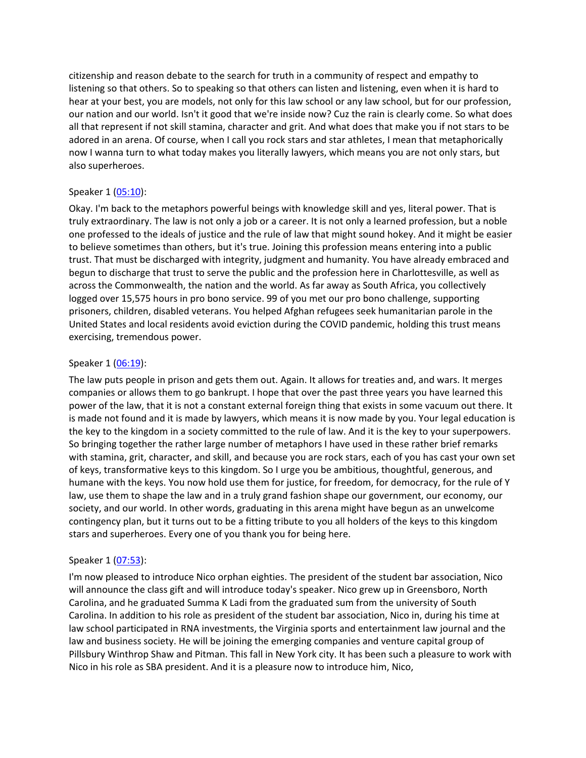citizenship and reason debate to the search for truth in a community of respect and empathy to listening so that others. So to speaking so that others can listen and listening, even when it is hard to hear at your best, you are models, not only for this law school or any law school, but for our profession, our nation and our world. Isn't it good that we're inside now? Cuz the rain is clearly come. So what does all that represent if not skill stamina, character and grit. And what does that make you if not stars to be adored in an arena. Of course, when I call you rock stars and star athletes, I mean that metaphorically now I wanna turn to what today makes you literally lawyers, which means you are not only stars, but also superheroes.

## Speaker 1 [\(05:10\)](https://www.temi.com/editor/t/yP_Y9PYSff0KYXDrRbf2bR6jWl4riW4CmYZF3qCqVGIyyxqYWTcZnVGQZcL5qNJX6ZisRJHfpMHiq9x-kJgIdR9a8Fc?loadFrom=DocumentDeeplink&ts=310.77):

Okay. I'm back to the metaphors powerful beings with knowledge skill and yes, literal power. That is truly extraordinary. The law is not only a job or a career. It is not only a learned profession, but a noble one professed to the ideals of justice and the rule of law that might sound hokey. And it might be easier to believe sometimes than others, but it's true. Joining this profession means entering into a public trust. That must be discharged with integrity, judgment and humanity. You have already embraced and begun to discharge that trust to serve the public and the profession here in Charlottesville, as well as across the Commonwealth, the nation and the world. As far away as South Africa, you collectively logged over 15,575 hours in pro bono service. 99 of you met our pro bono challenge, supporting prisoners, children, disabled veterans. You helped Afghan refugees seek humanitarian parole in the United States and local residents avoid eviction during the COVID pandemic, holding this trust means exercising, tremendous power.

## Speaker 1 [\(06:19\)](https://www.temi.com/editor/t/yP_Y9PYSff0KYXDrRbf2bR6jWl4riW4CmYZF3qCqVGIyyxqYWTcZnVGQZcL5qNJX6ZisRJHfpMHiq9x-kJgIdR9a8Fc?loadFrom=DocumentDeeplink&ts=379.21):

The law puts people in prison and gets them out. Again. It allows for treaties and, and wars. It merges companies or allows them to go bankrupt. I hope that over the past three years you have learned this power of the law, that it is not a constant external foreign thing that exists in some vacuum out there. It is made not found and it is made by lawyers, which means it is now made by you. Your legal education is the key to the kingdom in a society committed to the rule of law. And it is the key to your superpowers. So bringing together the rather large number of metaphors I have used in these rather brief remarks with stamina, grit, character, and skill, and because you are rock stars, each of you has cast your own set of keys, transformative keys to this kingdom. So I urge you be ambitious, thoughtful, generous, and humane with the keys. You now hold use them for justice, for freedom, for democracy, for the rule of Y law, use them to shape the law and in a truly grand fashion shape our government, our economy, our society, and our world. In other words, graduating in this arena might have begun as an unwelcome contingency plan, but it turns out to be a fitting tribute to you all holders of the keys to this kingdom stars and superheroes. Every one of you thank you for being here.

# Speaker 1 [\(07:53\)](https://www.temi.com/editor/t/yP_Y9PYSff0KYXDrRbf2bR6jWl4riW4CmYZF3qCqVGIyyxqYWTcZnVGQZcL5qNJX6ZisRJHfpMHiq9x-kJgIdR9a8Fc?loadFrom=DocumentDeeplink&ts=473.56):

I'm now pleased to introduce Nico orphan eighties. The president of the student bar association, Nico will announce the class gift and will introduce today's speaker. Nico grew up in Greensboro, North Carolina, and he graduated Summa K Ladi from the graduated sum from the university of South Carolina. In addition to his role as president of the student bar association, Nico in, during his time at law school participated in RNA investments, the Virginia sports and entertainment law journal and the law and business society. He will be joining the emerging companies and venture capital group of Pillsbury Winthrop Shaw and Pitman. This fall in New York city. It has been such a pleasure to work with Nico in his role as SBA president. And it is a pleasure now to introduce him, Nico,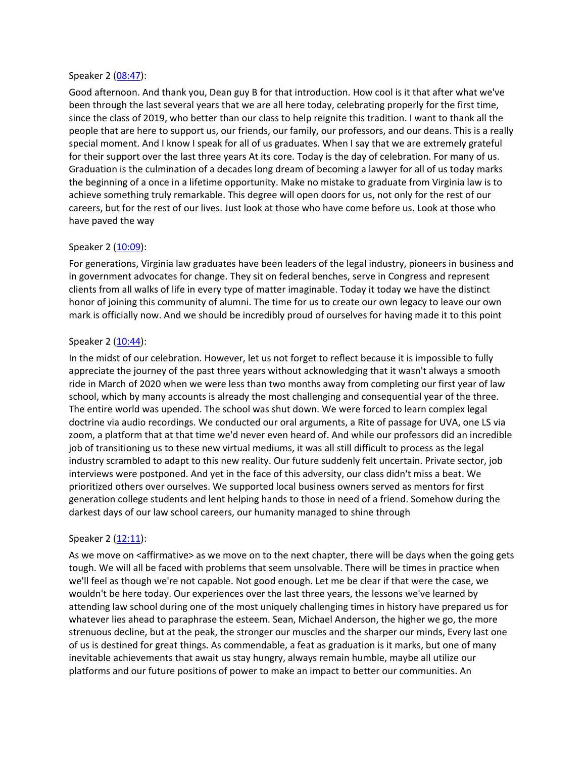#### Speaker 2 [\(08:47\)](https://www.temi.com/editor/t/yP_Y9PYSff0KYXDrRbf2bR6jWl4riW4CmYZF3qCqVGIyyxqYWTcZnVGQZcL5qNJX6ZisRJHfpMHiq9x-kJgIdR9a8Fc?loadFrom=DocumentDeeplink&ts=527.1):

Good afternoon. And thank you, Dean guy B for that introduction. How cool is it that after what we've been through the last several years that we are all here today, celebrating properly for the first time, since the class of 2019, who better than our class to help reignite this tradition. I want to thank all the people that are here to support us, our friends, our family, our professors, and our deans. This is a really special moment. And I know I speak for all of us graduates. When I say that we are extremely grateful for their support over the last three years At its core. Today is the day of celebration. For many of us. Graduation is the culmination of a decades long dream of becoming a lawyer for all of us today marks the beginning of a once in a lifetime opportunity. Make no mistake to graduate from Virginia law is to achieve something truly remarkable. This degree will open doors for us, not only for the rest of our careers, but for the rest of our lives. Just look at those who have come before us. Look at those who have paved the way

#### Speaker 2 [\(10:09\)](https://www.temi.com/editor/t/yP_Y9PYSff0KYXDrRbf2bR6jWl4riW4CmYZF3qCqVGIyyxqYWTcZnVGQZcL5qNJX6ZisRJHfpMHiq9x-kJgIdR9a8Fc?loadFrom=DocumentDeeplink&ts=609.66):

For generations, Virginia law graduates have been leaders of the legal industry, pioneers in business and in government advocates for change. They sit on federal benches, serve in Congress and represent clients from all walks of life in every type of matter imaginable. Today it today we have the distinct honor of joining this community of alumni. The time for us to create our own legacy to leave our own mark is officially now. And we should be incredibly proud of ourselves for having made it to this point

#### Speaker 2 [\(10:44\)](https://www.temi.com/editor/t/yP_Y9PYSff0KYXDrRbf2bR6jWl4riW4CmYZF3qCqVGIyyxqYWTcZnVGQZcL5qNJX6ZisRJHfpMHiq9x-kJgIdR9a8Fc?loadFrom=DocumentDeeplink&ts=644.679):

In the midst of our celebration. However, let us not forget to reflect because it is impossible to fully appreciate the journey of the past three years without acknowledging that it wasn't always a smooth ride in March of 2020 when we were less than two months away from completing our first year of law school, which by many accounts is already the most challenging and consequential year of the three. The entire world was upended. The school was shut down. We were forced to learn complex legal doctrine via audio recordings. We conducted our oral arguments, a Rite of passage for UVA, one LS via zoom, a platform that at that time we'd never even heard of. And while our professors did an incredible job of transitioning us to these new virtual mediums, it was all still difficult to process as the legal industry scrambled to adapt to this new reality. Our future suddenly felt uncertain. Private sector, job interviews were postponed. And yet in the face of this adversity, our class didn't miss a beat. We prioritized others over ourselves. We supported local business owners served as mentors for first generation college students and lent helping hands to those in need of a friend. Somehow during the darkest days of our law school careers, our humanity managed to shine through

#### Speaker 2 [\(12:11\)](https://www.temi.com/editor/t/yP_Y9PYSff0KYXDrRbf2bR6jWl4riW4CmYZF3qCqVGIyyxqYWTcZnVGQZcL5qNJX6ZisRJHfpMHiq9x-kJgIdR9a8Fc?loadFrom=DocumentDeeplink&ts=731.74):

As we move on <affirmative> as we move on to the next chapter, there will be days when the going gets tough. We will all be faced with problems that seem unsolvable. There will be times in practice when we'll feel as though we're not capable. Not good enough. Let me be clear if that were the case, we wouldn't be here today. Our experiences over the last three years, the lessons we've learned by attending law school during one of the most uniquely challenging times in history have prepared us for whatever lies ahead to paraphrase the esteem. Sean, Michael Anderson, the higher we go, the more strenuous decline, but at the peak, the stronger our muscles and the sharper our minds, Every last one of us is destined for great things. As commendable, a feat as graduation is it marks, but one of many inevitable achievements that await us stay hungry, always remain humble, maybe all utilize our platforms and our future positions of power to make an impact to better our communities. An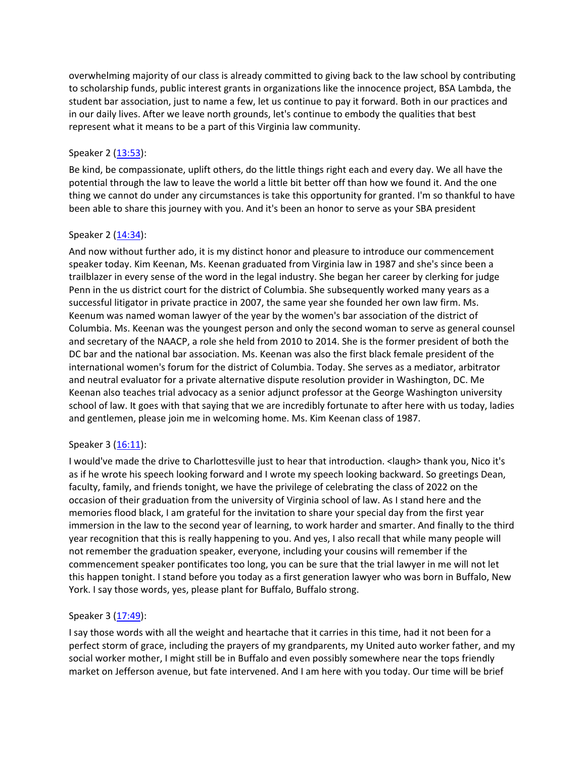overwhelming majority of our class is already committed to giving back to the law school by contributing to scholarship funds, public interest grants in organizations like the innocence project, BSA Lambda, the student bar association, just to name a few, let us continue to pay it forward. Both in our practices and in our daily lives. After we leave north grounds, let's continue to embody the qualities that best represent what it means to be a part of this Virginia law community.

# Speaker 2 [\(13:53\)](https://www.temi.com/editor/t/yP_Y9PYSff0KYXDrRbf2bR6jWl4riW4CmYZF3qCqVGIyyxqYWTcZnVGQZcL5qNJX6ZisRJHfpMHiq9x-kJgIdR9a8Fc?loadFrom=DocumentDeeplink&ts=833.059):

Be kind, be compassionate, uplift others, do the little things right each and every day. We all have the potential through the law to leave the world a little bit better off than how we found it. And the one thing we cannot do under any circumstances is take this opportunity for granted. I'm so thankful to have been able to share this journey with you. And it's been an honor to serve as your SBA president

# Speaker 2 [\(14:34\)](https://www.temi.com/editor/t/yP_Y9PYSff0KYXDrRbf2bR6jWl4riW4CmYZF3qCqVGIyyxqYWTcZnVGQZcL5qNJX6ZisRJHfpMHiq9x-kJgIdR9a8Fc?loadFrom=DocumentDeeplink&ts=874.3):

And now without further ado, it is my distinct honor and pleasure to introduce our commencement speaker today. Kim Keenan, Ms. Keenan graduated from Virginia law in 1987 and she's since been a trailblazer in every sense of the word in the legal industry. She began her career by clerking for judge Penn in the us district court for the district of Columbia. She subsequently worked many years as a successful litigator in private practice in 2007, the same year she founded her own law firm. Ms. Keenum was named woman lawyer of the year by the women's bar association of the district of Columbia. Ms. Keenan was the youngest person and only the second woman to serve as general counsel and secretary of the NAACP, a role she held from 2010 to 2014. She is the former president of both the DC bar and the national bar association. Ms. Keenan was also the first black female president of the international women's forum for the district of Columbia. Today. She serves as a mediator, arbitrator and neutral evaluator for a private alternative dispute resolution provider in Washington, DC. Me Keenan also teaches trial advocacy as a senior adjunct professor at the George Washington university school of law. It goes with that saying that we are incredibly fortunate to after here with us today, ladies and gentlemen, please join me in welcoming home. Ms. Kim Keenan class of 1987.

## Speaker 3 [\(16:11\)](https://www.temi.com/editor/t/yP_Y9PYSff0KYXDrRbf2bR6jWl4riW4CmYZF3qCqVGIyyxqYWTcZnVGQZcL5qNJX6ZisRJHfpMHiq9x-kJgIdR9a8Fc?loadFrom=DocumentDeeplink&ts=971.79):

I would've made the drive to Charlottesville just to hear that introduction. <laugh> thank you, Nico it's as if he wrote his speech looking forward and I wrote my speech looking backward. So greetings Dean, faculty, family, and friends tonight, we have the privilege of celebrating the class of 2022 on the occasion of their graduation from the university of Virginia school of law. As I stand here and the memories flood black, I am grateful for the invitation to share your special day from the first year immersion in the law to the second year of learning, to work harder and smarter. And finally to the third year recognition that this is really happening to you. And yes, I also recall that while many people will not remember the graduation speaker, everyone, including your cousins will remember if the commencement speaker pontificates too long, you can be sure that the trial lawyer in me will not let this happen tonight. I stand before you today as a first generation lawyer who was born in Buffalo, New York. I say those words, yes, please plant for Buffalo, Buffalo strong.

## Speaker 3 [\(17:49\)](https://www.temi.com/editor/t/yP_Y9PYSff0KYXDrRbf2bR6jWl4riW4CmYZF3qCqVGIyyxqYWTcZnVGQZcL5qNJX6ZisRJHfpMHiq9x-kJgIdR9a8Fc?loadFrom=DocumentDeeplink&ts=1069):

I say those words with all the weight and heartache that it carries in this time, had it not been for a perfect storm of grace, including the prayers of my grandparents, my United auto worker father, and my social worker mother, I might still be in Buffalo and even possibly somewhere near the tops friendly market on Jefferson avenue, but fate intervened. And I am here with you today. Our time will be brief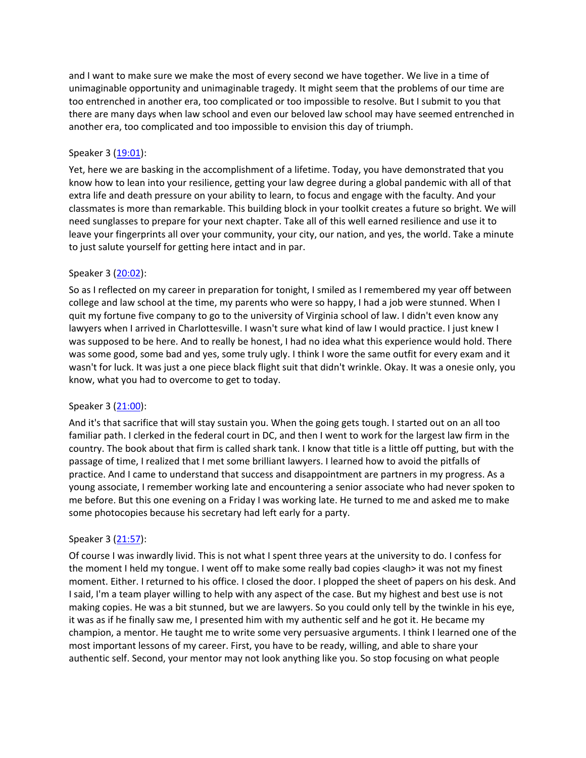and I want to make sure we make the most of every second we have together. We live in a time of unimaginable opportunity and unimaginable tragedy. It might seem that the problems of our time are too entrenched in another era, too complicated or too impossible to resolve. But I submit to you that there are many days when law school and even our beloved law school may have seemed entrenched in another era, too complicated and too impossible to envision this day of triumph.

### Speaker 3 [\(19:01\)](https://www.temi.com/editor/t/yP_Y9PYSff0KYXDrRbf2bR6jWl4riW4CmYZF3qCqVGIyyxqYWTcZnVGQZcL5qNJX6ZisRJHfpMHiq9x-kJgIdR9a8Fc?loadFrom=DocumentDeeplink&ts=1141.19):

Yet, here we are basking in the accomplishment of a lifetime. Today, you have demonstrated that you know how to lean into your resilience, getting your law degree during a global pandemic with all of that extra life and death pressure on your ability to learn, to focus and engage with the faculty. And your classmates is more than remarkable. This building block in your toolkit creates a future so bright. We will need sunglasses to prepare for your next chapter. Take all of this well earned resilience and use it to leave your fingerprints all over your community, your city, our nation, and yes, the world. Take a minute to just salute yourself for getting here intact and in par.

#### Speaker 3 [\(20:02\)](https://www.temi.com/editor/t/yP_Y9PYSff0KYXDrRbf2bR6jWl4riW4CmYZF3qCqVGIyyxqYWTcZnVGQZcL5qNJX6ZisRJHfpMHiq9x-kJgIdR9a8Fc?loadFrom=DocumentDeeplink&ts=1202.54):

So as I reflected on my career in preparation for tonight, I smiled as I remembered my year off between college and law school at the time, my parents who were so happy, I had a job were stunned. When I quit my fortune five company to go to the university of Virginia school of law. I didn't even know any lawyers when I arrived in Charlottesville. I wasn't sure what kind of law I would practice. I just knew I was supposed to be here. And to really be honest, I had no idea what this experience would hold. There was some good, some bad and yes, some truly ugly. I think I wore the same outfit for every exam and it wasn't for luck. It was just a one piece black flight suit that didn't wrinkle. Okay. It was a onesie only, you know, what you had to overcome to get to today.

#### Speaker 3 [\(21:00\)](https://www.temi.com/editor/t/yP_Y9PYSff0KYXDrRbf2bR6jWl4riW4CmYZF3qCqVGIyyxqYWTcZnVGQZcL5qNJX6ZisRJHfpMHiq9x-kJgIdR9a8Fc?loadFrom=DocumentDeeplink&ts=1260.619):

And it's that sacrifice that will stay sustain you. When the going gets tough. I started out on an all too familiar path. I clerked in the federal court in DC, and then I went to work for the largest law firm in the country. The book about that firm is called shark tank. I know that title is a little off putting, but with the passage of time, I realized that I met some brilliant lawyers. I learned how to avoid the pitfalls of practice. And I came to understand that success and disappointment are partners in my progress. As a young associate, I remember working late and encountering a senior associate who had never spoken to me before. But this one evening on a Friday I was working late. He turned to me and asked me to make some photocopies because his secretary had left early for a party.

#### Speaker 3 [\(21:57\)](https://www.temi.com/editor/t/yP_Y9PYSff0KYXDrRbf2bR6jWl4riW4CmYZF3qCqVGIyyxqYWTcZnVGQZcL5qNJX6ZisRJHfpMHiq9x-kJgIdR9a8Fc?loadFrom=DocumentDeeplink&ts=1317.39):

Of course I was inwardly livid. This is not what I spent three years at the university to do. I confess for the moment I held my tongue. I went off to make some really bad copies <laugh> it was not my finest moment. Either. I returned to his office. I closed the door. I plopped the sheet of papers on his desk. And I said, I'm a team player willing to help with any aspect of the case. But my highest and best use is not making copies. He was a bit stunned, but we are lawyers. So you could only tell by the twinkle in his eye, it was as if he finally saw me, I presented him with my authentic self and he got it. He became my champion, a mentor. He taught me to write some very persuasive arguments. I think I learned one of the most important lessons of my career. First, you have to be ready, willing, and able to share your authentic self. Second, your mentor may not look anything like you. So stop focusing on what people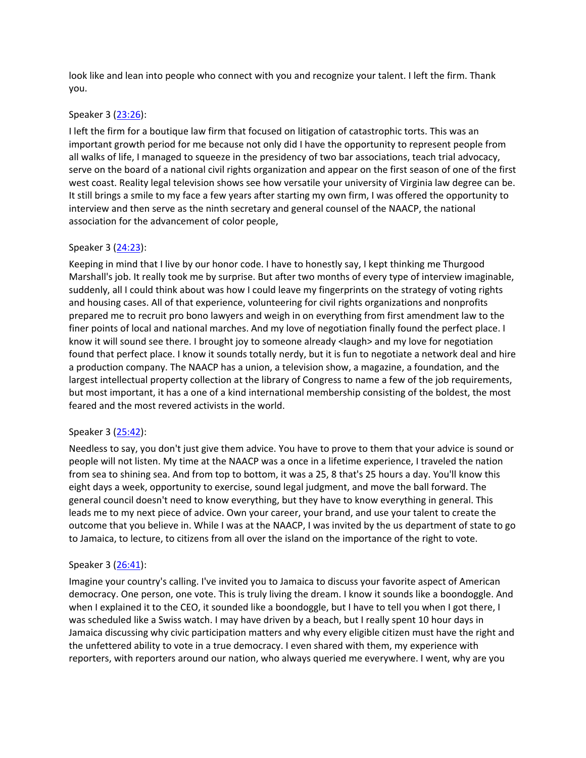look like and lean into people who connect with you and recognize your talent. I left the firm. Thank you.

### Speaker 3 [\(23:26\)](https://www.temi.com/editor/t/yP_Y9PYSff0KYXDrRbf2bR6jWl4riW4CmYZF3qCqVGIyyxqYWTcZnVGQZcL5qNJX6ZisRJHfpMHiq9x-kJgIdR9a8Fc?loadFrom=DocumentDeeplink&ts=1406.9):

I left the firm for a boutique law firm that focused on litigation of catastrophic torts. This was an important growth period for me because not only did I have the opportunity to represent people from all walks of life, I managed to squeeze in the presidency of two bar associations, teach trial advocacy, serve on the board of a national civil rights organization and appear on the first season of one of the first west coast. Reality legal television shows see how versatile your university of Virginia law degree can be. It still brings a smile to my face a few years after starting my own firm, I was offered the opportunity to interview and then serve as the ninth secretary and general counsel of the NAACP, the national association for the advancement of color people,

#### Speaker 3 [\(24:23\)](https://www.temi.com/editor/t/yP_Y9PYSff0KYXDrRbf2bR6jWl4riW4CmYZF3qCqVGIyyxqYWTcZnVGQZcL5qNJX6ZisRJHfpMHiq9x-kJgIdR9a8Fc?loadFrom=DocumentDeeplink&ts=1463.89):

Keeping in mind that I live by our honor code. I have to honestly say, I kept thinking me Thurgood Marshall's job. It really took me by surprise. But after two months of every type of interview imaginable, suddenly, all I could think about was how I could leave my fingerprints on the strategy of voting rights and housing cases. All of that experience, volunteering for civil rights organizations and nonprofits prepared me to recruit pro bono lawyers and weigh in on everything from first amendment law to the finer points of local and national marches. And my love of negotiation finally found the perfect place. I know it will sound see there. I brought joy to someone already <laugh> and my love for negotiation found that perfect place. I know it sounds totally nerdy, but it is fun to negotiate a network deal and hire a production company. The NAACP has a union, a television show, a magazine, a foundation, and the largest intellectual property collection at the library of Congress to name a few of the job requirements, but most important, it has a one of a kind international membership consisting of the boldest, the most feared and the most revered activists in the world.

## Speaker 3 [\(25:42\)](https://www.temi.com/editor/t/yP_Y9PYSff0KYXDrRbf2bR6jWl4riW4CmYZF3qCqVGIyyxqYWTcZnVGQZcL5qNJX6ZisRJHfpMHiq9x-kJgIdR9a8Fc?loadFrom=DocumentDeeplink&ts=1542.5):

Needless to say, you don't just give them advice. You have to prove to them that your advice is sound or people will not listen. My time at the NAACP was a once in a lifetime experience, I traveled the nation from sea to shining sea. And from top to bottom, it was a 25, 8 that's 25 hours a day. You'll know this eight days a week, opportunity to exercise, sound legal judgment, and move the ball forward. The general council doesn't need to know everything, but they have to know everything in general. This leads me to my next piece of advice. Own your career, your brand, and use your talent to create the outcome that you believe in. While I was at the NAACP, I was invited by the us department of state to go to Jamaica, to lecture, to citizens from all over the island on the importance of the right to vote.

#### Speaker 3 [\(26:41\)](https://www.temi.com/editor/t/yP_Y9PYSff0KYXDrRbf2bR6jWl4riW4CmYZF3qCqVGIyyxqYWTcZnVGQZcL5qNJX6ZisRJHfpMHiq9x-kJgIdR9a8Fc?loadFrom=DocumentDeeplink&ts=1601.38):

Imagine your country's calling. I've invited you to Jamaica to discuss your favorite aspect of American democracy. One person, one vote. This is truly living the dream. I know it sounds like a boondoggle. And when I explained it to the CEO, it sounded like a boondoggle, but I have to tell you when I got there, I was scheduled like a Swiss watch. I may have driven by a beach, but I really spent 10 hour days in Jamaica discussing why civic participation matters and why every eligible citizen must have the right and the unfettered ability to vote in a true democracy. I even shared with them, my experience with reporters, with reporters around our nation, who always queried me everywhere. I went, why are you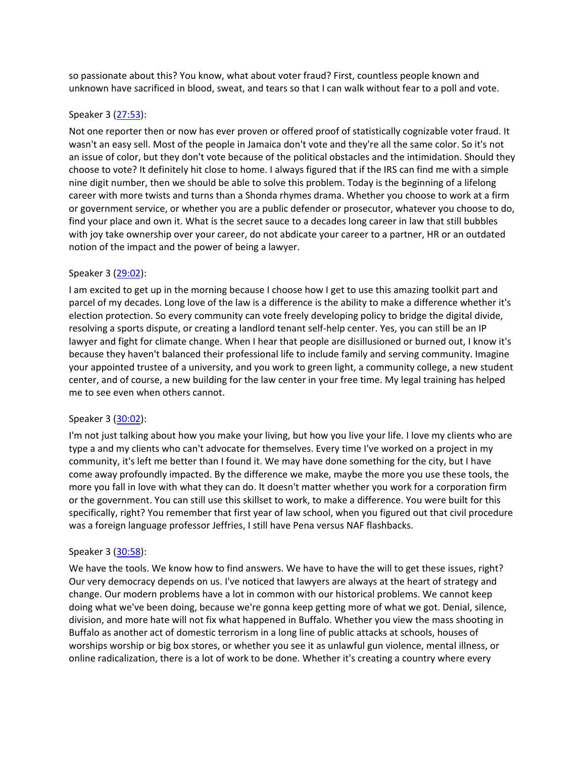so passionate about this? You know, what about voter fraud? First, countless people known and unknown have sacrificed in blood, sweat, and tears so that I can walk without fear to a poll and vote.

#### Speaker 3 [\(27:53\)](https://www.temi.com/editor/t/yP_Y9PYSff0KYXDrRbf2bR6jWl4riW4CmYZF3qCqVGIyyxqYWTcZnVGQZcL5qNJX6ZisRJHfpMHiq9x-kJgIdR9a8Fc?loadFrom=DocumentDeeplink&ts=1673.35):

Not one reporter then or now has ever proven or offered proof of statistically cognizable voter fraud. It wasn't an easy sell. Most of the people in Jamaica don't vote and they're all the same color. So it's not an issue of color, but they don't vote because of the political obstacles and the intimidation. Should they choose to vote? It definitely hit close to home. I always figured that if the IRS can find me with a simple nine digit number, then we should be able to solve this problem. Today is the beginning of a lifelong career with more twists and turns than a Shonda rhymes drama. Whether you choose to work at a firm or government service, or whether you are a public defender or prosecutor, whatever you choose to do, find your place and own it. What is the secret sauce to a decades long career in law that still bubbles with joy take ownership over your career, do not abdicate your career to a partner, HR or an outdated notion of the impact and the power of being a lawyer.

## Speaker 3 [\(29:02\)](https://www.temi.com/editor/t/yP_Y9PYSff0KYXDrRbf2bR6jWl4riW4CmYZF3qCqVGIyyxqYWTcZnVGQZcL5qNJX6ZisRJHfpMHiq9x-kJgIdR9a8Fc?loadFrom=DocumentDeeplink&ts=1742.38):

I am excited to get up in the morning because I choose how I get to use this amazing toolkit part and parcel of my decades. Long love of the law is a difference is the ability to make a difference whether it's election protection. So every community can vote freely developing policy to bridge the digital divide, resolving a sports dispute, or creating a landlord tenant self-help center. Yes, you can still be an IP lawyer and fight for climate change. When I hear that people are disillusioned or burned out, I know it's because they haven't balanced their professional life to include family and serving community. Imagine your appointed trustee of a university, and you work to green light, a community college, a new student center, and of course, a new building for the law center in your free time. My legal training has helped me to see even when others cannot.

## Speaker 3 [\(30:02\)](https://www.temi.com/editor/t/yP_Y9PYSff0KYXDrRbf2bR6jWl4riW4CmYZF3qCqVGIyyxqYWTcZnVGQZcL5qNJX6ZisRJHfpMHiq9x-kJgIdR9a8Fc?loadFrom=DocumentDeeplink&ts=1802.37):

I'm not just talking about how you make your living, but how you live your life. I love my clients who are type a and my clients who can't advocate for themselves. Every time I've worked on a project in my community, it's left me better than I found it. We may have done something for the city, but I have come away profoundly impacted. By the difference we make, maybe the more you use these tools, the more you fall in love with what they can do. It doesn't matter whether you work for a corporation firm or the government. You can still use this skillset to work, to make a difference. You were built for this specifically, right? You remember that first year of law school, when you figured out that civil procedure was a foreign language professor Jeffries, I still have Pena versus NAF flashbacks.

## Speaker 3 [\(30:58\)](https://www.temi.com/editor/t/yP_Y9PYSff0KYXDrRbf2bR6jWl4riW4CmYZF3qCqVGIyyxqYWTcZnVGQZcL5qNJX6ZisRJHfpMHiq9x-kJgIdR9a8Fc?loadFrom=DocumentDeeplink&ts=1858.48):

We have the tools. We know how to find answers. We have to have the will to get these issues, right? Our very democracy depends on us. I've noticed that lawyers are always at the heart of strategy and change. Our modern problems have a lot in common with our historical problems. We cannot keep doing what we've been doing, because we're gonna keep getting more of what we got. Denial, silence, division, and more hate will not fix what happened in Buffalo. Whether you view the mass shooting in Buffalo as another act of domestic terrorism in a long line of public attacks at schools, houses of worships worship or big box stores, or whether you see it as unlawful gun violence, mental illness, or online radicalization, there is a lot of work to be done. Whether it's creating a country where every